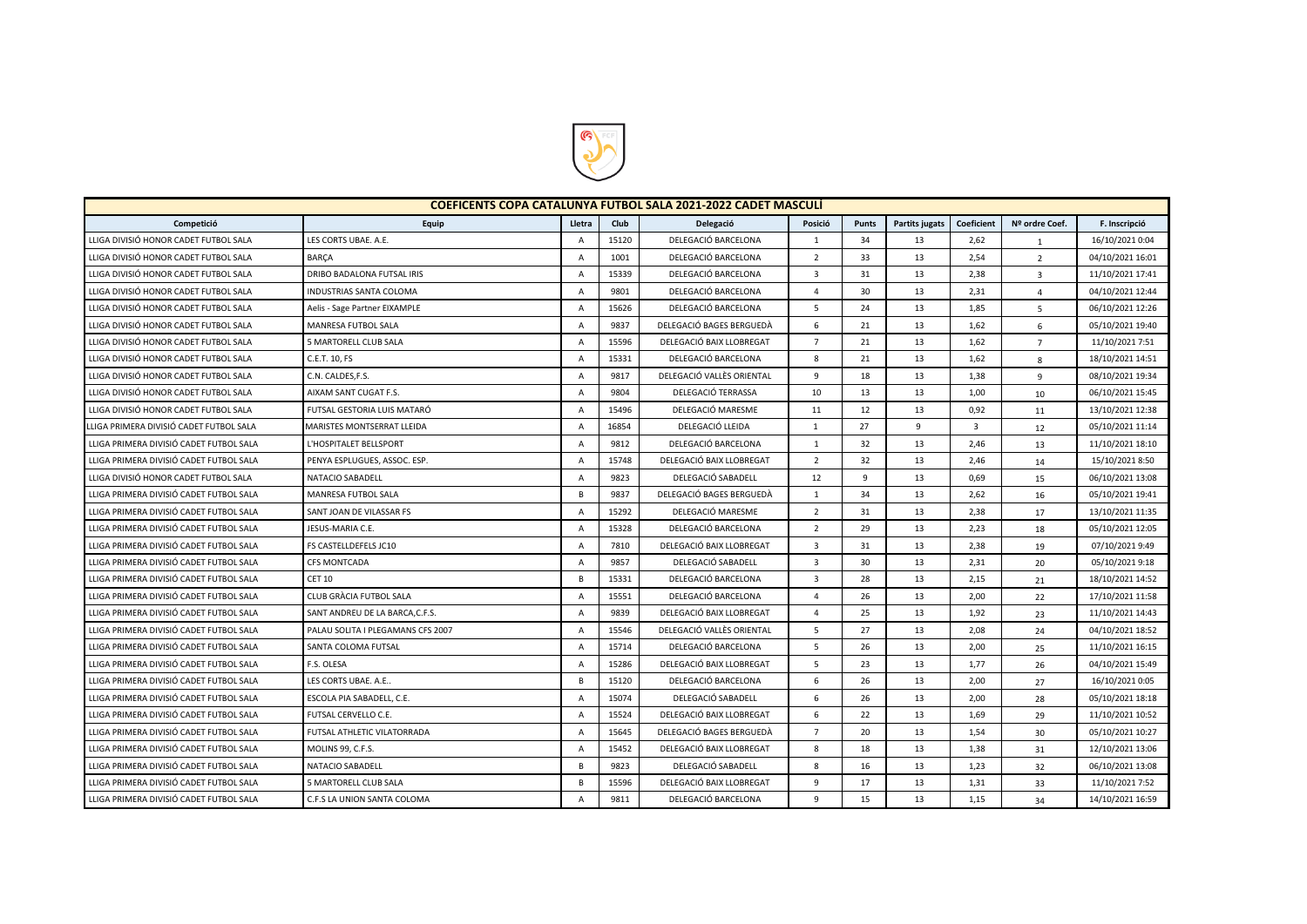

| <b>COEFICENTS COPA CATALUNYA FUTBOL SALA 2021-2022 CADET MASCULI</b> |                                   |                |       |                           |                |              |                       |                |                         |                  |  |
|----------------------------------------------------------------------|-----------------------------------|----------------|-------|---------------------------|----------------|--------------|-----------------------|----------------|-------------------------|------------------|--|
| Competició                                                           | Equip                             | Lletra         | Club  | Delegació                 | Posició        | <b>Punts</b> | <b>Partits jugats</b> | Coeficient     | Nº ordre Coef.          | F. Inscripció    |  |
| LLIGA DIVISIÓ HONOR CADET FUTBOL SALA                                | LES CORTS UBAE. A.E.              | A              | 15120 | DELEGACIÓ BARCELONA       | 1              | 34           | 13                    | 2,62           | $\mathbf{1}$            | 16/10/2021 0:04  |  |
| LLIGA DIVISIÓ HONOR CADET FUTBOL SALA                                | <b>BARCA</b>                      | $\overline{A}$ | 1001  | DELEGACIÓ BARCELONA       | $\overline{2}$ | 33           | 13                    | 2,54           | $\overline{2}$          | 04/10/2021 16:01 |  |
| LLIGA DIVISIÓ HONOR CADET FUTBOL SALA                                | DRIBO BADALONA FUTSAL IRIS        | $\overline{A}$ | 15339 | DELEGACIÓ BARCELONA       | $\overline{3}$ | 31           | 13                    | 2,38           | $\overline{\mathbf{3}}$ | 11/10/2021 17:41 |  |
| LLIGA DIVISIÓ HONOR CADET FUTBOL SALA                                | <b>INDUSTRIAS SANTA COLOMA</b>    | $\overline{A}$ | 9801  | DELEGACIÓ BARCELONA       | 4              | 30           | 13                    | 2,31           | $\overline{4}$          | 04/10/2021 12:44 |  |
| LLIGA DIVISIÓ HONOR CADET FUTBOL SALA                                | Aelis - Sage Partner EIXAMPLE     | A              | 15626 | DELEGACIÓ BARCELONA       | 5              | 24           | 13                    | 1,85           | 5                       | 06/10/2021 12:26 |  |
| LLIGA DIVISIÓ HONOR CADET FUTBOL SALA                                | MANRESA FUTBOL SALA               | $\mathsf{A}$   | 9837  | DELEGACIÓ BAGES BERGUEDÀ  | 6              | 21           | 13                    | 1,62           | 6                       | 05/10/2021 19:40 |  |
| LLIGA DIVISIÓ HONOR CADET FUTBOL SALA                                | 5 MARTORELL CLUB SALA             | $\overline{A}$ | 15596 | DELEGACIÓ BAIX LLOBREGAT  | $\overline{7}$ | 21           | 13                    | 1,62           | $\overline{7}$          | 11/10/2021 7:51  |  |
| LLIGA DIVISIÓ HONOR CADET FUTBOL SALA                                | C.E.T. 10, FS                     | $\overline{A}$ | 15331 | DELEGACIÓ BARCELONA       | 8              | 21           | 13                    | 1,62           | 8                       | 18/10/2021 14:51 |  |
| LLIGA DIVISIÓ HONOR CADET FUTBOL SALA                                | C.N. CALDES, F.S.                 | $\overline{A}$ | 9817  | DELEGACIÓ VALLÈS ORIENTAL | 9              | 18           | 13                    | 1,38           | 9                       | 08/10/2021 19:34 |  |
| LLIGA DIVISIÓ HONOR CADET FUTBOL SALA                                | AIXAM SANT CUGAT F.S.             | $\overline{A}$ | 9804  | DELEGACIÓ TERRASSA        | 10             | 13           | 13                    | 1,00           | 10                      | 06/10/2021 15:45 |  |
| LLIGA DIVISIÓ HONOR CADET FUTBOL SALA                                | FUTSAL GESTORIA LUIS MATARÓ       | $\overline{A}$ | 15496 | DELEGACIÓ MARESME         | 11             | 12           | 13                    | 0,92           | 11                      | 13/10/2021 12:38 |  |
| LLIGA PRIMERA DIVISIÓ CADET FUTBOL SALA                              | MARISTES MONTSERRAT LLEIDA        | $\overline{A}$ | 16854 | DELEGACIÓ LLEIDA          | $\mathbf{1}$   | 27           | 9                     | $\overline{3}$ | 12                      | 05/10/2021 11:14 |  |
| LLIGA PRIMERA DIVISIÓ CADET FUTBOL SALA                              | L'HOSPITALET BELLSPORT            | A              | 9812  | DELEGACIÓ BARCELONA       | 1              | 32           | 13                    | 2,46           | 13                      | 11/10/2021 18:10 |  |
| LLIGA PRIMERA DIVISIÓ CADET FUTBOL SALA                              | PENYA ESPLUGUES, ASSOC. ESP.      | A              | 15748 | DELEGACIÓ BAIX LLOBREGAT  | $\overline{2}$ | 32           | 13                    | 2,46           | 14                      | 15/10/2021 8:50  |  |
| LLIGA DIVISIÓ HONOR CADET FUTBOL SALA                                | NATACIO SABADELL                  | $\overline{A}$ | 9823  | DELEGACIÓ SABADELL        | 12             | 9            | 13                    | 0,69           | 15                      | 06/10/2021 13:08 |  |
| LLIGA PRIMERA DIVISIÓ CADET FUTBOL SALA                              | MANRESA FUTBOL SALA               | B              | 9837  | DELEGACIÓ BAGES BERGUEDÀ  | $\mathbf{1}$   | 34           | 13                    | 2,62           | 16                      | 05/10/2021 19:41 |  |
| LLIGA PRIMERA DIVISIÓ CADET FUTBOL SALA                              | SANT JOAN DE VILASSAR FS          | $\overline{A}$ | 15292 | DELEGACIÓ MARESME         | $\overline{2}$ | 31           | 13                    | 2,38           | 17                      | 13/10/2021 11:35 |  |
| LLIGA PRIMERA DIVISIÓ CADET FUTBOL SALA                              | JESUS-MARIA C.E.                  | $\overline{A}$ | 15328 | DELEGACIÓ BARCELONA       | $\overline{2}$ | 29           | 13                    | 2,23           | 18                      | 05/10/2021 12:05 |  |
| LLIGA PRIMERA DIVISIÓ CADET FUTBOL SALA                              | FS CASTELLDEFELS JC10             | $\overline{A}$ | 7810  | DELEGACIÓ BAIX LLOBREGAT  | $\overline{3}$ | 31           | 13                    | 2,38           | 19                      | 07/10/2021 9:49  |  |
| LLIGA PRIMERA DIVISIÓ CADET FUTBOL SALA                              | <b>CFS MONTCADA</b>               | A              | 9857  | DELEGACIÓ SABADELL        | 3              | 30           | 13                    | 2,31           | 20                      | 05/10/2021 9:18  |  |
| LLIGA PRIMERA DIVISIÓ CADET FUTBOL SALA                              | <b>CET 10</b>                     | В              | 15331 | DELEGACIÓ BARCELONA       | 3              | 28           | 13                    | 2,15           | 21                      | 18/10/2021 14:52 |  |
| LLIGA PRIMERA DIVISIÓ CADET FUTBOL SALA                              | CLUB GRÀCIA FUTBOL SALA           | A              | 15551 | DELEGACIÓ BARCELONA       | 4              | 26           | 13                    | 2,00           | 22                      | 17/10/2021 11:58 |  |
| LLIGA PRIMERA DIVISIÓ CADET FUTBOL SALA                              | SANT ANDREU DE LA BARCA, C.F.S.   | $\overline{A}$ | 9839  | DELEGACIÓ BAIX LLOBREGAT  | $\overline{4}$ | 25           | 13                    | 1,92           | 23                      | 11/10/2021 14:43 |  |
| LLIGA PRIMERA DIVISIÓ CADET FUTBOL SALA                              | PALAU SOLITA I PLEGAMANS CFS 2007 | $\overline{A}$ | 15546 | DELEGACIÓ VALLÈS ORIENTAL | 5              | 27           | 13                    | 2,08           | 24                      | 04/10/2021 18:52 |  |
| LLIGA PRIMERA DIVISIÓ CADET FUTBOL SALA                              | SANTA COLOMA FUTSAL               | $\overline{A}$ | 15714 | DELEGACIÓ BARCELONA       | 5              | 26           | 13                    | 2,00           | 25                      | 11/10/2021 16:15 |  |
| LLIGA PRIMERA DIVISIÓ CADET FUTBOL SALA                              | F.S. OLESA                        | $\overline{A}$ | 15286 | DELEGACIÓ BAIX LLOBREGAT  | 5              | 23           | 13                    | 1,77           | 26                      | 04/10/2021 15:49 |  |
| LLIGA PRIMERA DIVISIÓ CADET FUTBOL SALA                              | LES CORTS UBAE. A.E               | B              | 15120 | DELEGACIÓ BARCELONA       | 6              | 26           | 13                    | 2,00           | 27                      | 16/10/2021 0:05  |  |
| LLIGA PRIMERA DIVISIÓ CADET FUTBOL SALA                              | ESCOLA PIA SABADELL, C.E.         | $\overline{A}$ | 15074 | DELEGACIÓ SABADELL        | 6              | 26           | 13                    | 2,00           | 28                      | 05/10/2021 18:18 |  |
| LLIGA PRIMERA DIVISIÓ CADET FUTBOL SALA                              | FUTSAL CERVELLO C.E.              | A              | 15524 | DELEGACIÓ BAIX LLOBREGAT  | 6              | 22           | 13                    | 1,69           | 29                      | 11/10/2021 10:52 |  |
| LLIGA PRIMERA DIVISIÓ CADET FUTBOL SALA                              | FUTSAL ATHLETIC VILATORRADA       | $\overline{A}$ | 15645 | DELEGACIÓ BAGES BERGUEDÀ  | $\overline{7}$ | 20           | 13                    | 1,54           | 30                      | 05/10/2021 10:27 |  |
| LLIGA PRIMERA DIVISIÓ CADET FUTBOL SALA                              | MOLINS 99, C.F.S.                 | $\overline{A}$ | 15452 | DELEGACIÓ BAIX LLOBREGAT  | 8              | 18           | 13                    | 1,38           | 31                      | 12/10/2021 13:06 |  |
| LLIGA PRIMERA DIVISIÓ CADET FUTBOL SALA                              | NATACIO SABADELL                  | B              | 9823  | DELEGACIÓ SABADELL        | 8              | 16           | 13                    | 1,23           | 32                      | 06/10/2021 13:08 |  |
| LLIGA PRIMERA DIVISIÓ CADET FUTBOL SALA                              | 5 MARTORELL CLUB SALA             | B              | 15596 | DELEGACIÓ BAIX LLOBREGAT  | 9              | 17           | 13                    | 1,31           | 33                      | 11/10/2021 7:52  |  |
| LLIGA PRIMERA DIVISIÓ CADET FUTBOL SALA                              | C.F.S LA UNION SANTA COLOMA       | $\overline{A}$ | 9811  | DELEGACIÓ BARCELONA       | 9              | 15           | 13                    | 1,15           | 34                      | 14/10/2021 16:59 |  |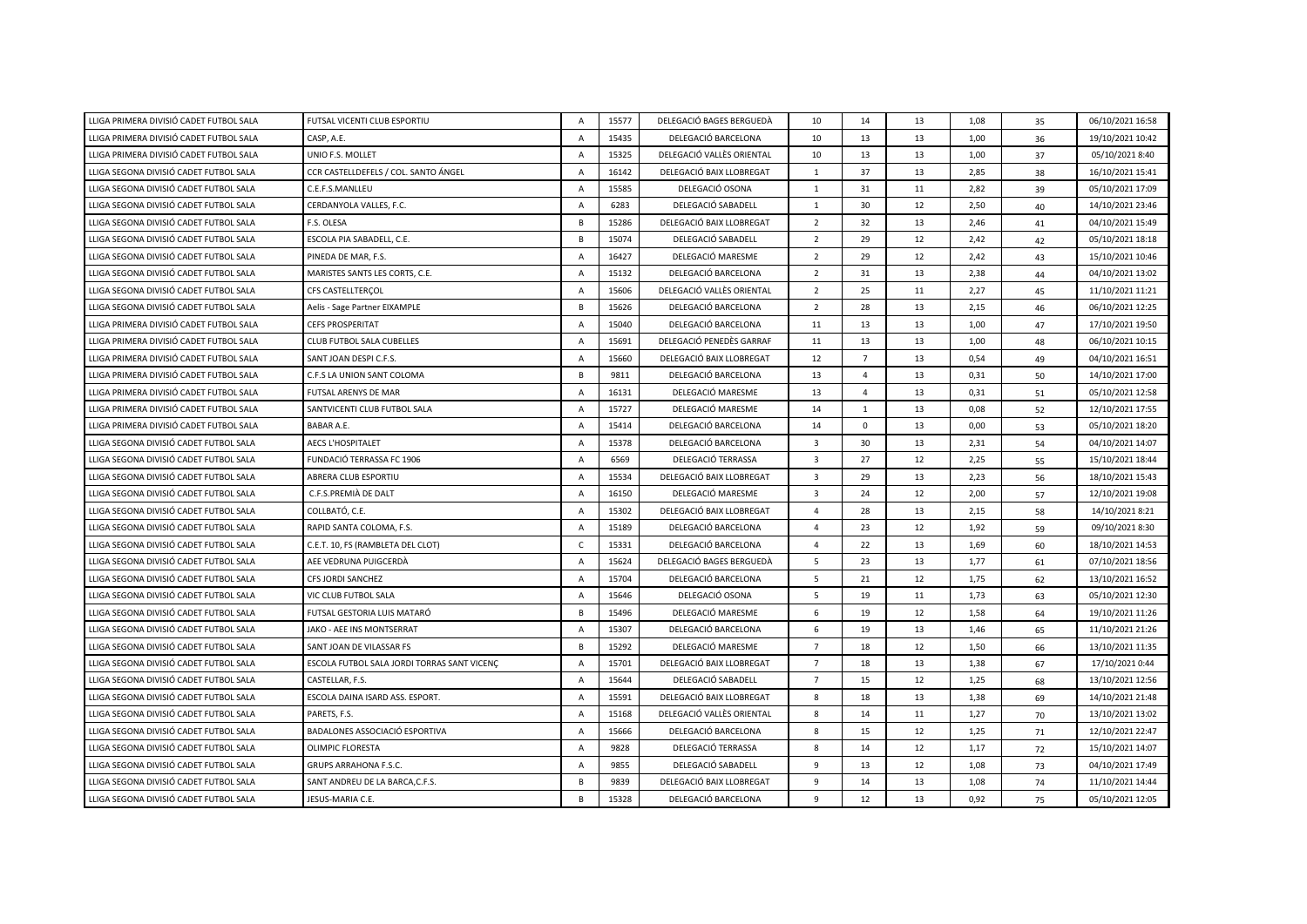| LLIGA PRIMERA DIVISIÓ CADET FUTBOL SALA | FUTSAL VICENTI CLUB ESPORTIU                | $\overline{A}$ | 15577 | DELEGACIÓ BAGES BERGUEDÀ  | 10                      | 14             | 13 | 1,08 | 35 | 06/10/2021 16:58 |
|-----------------------------------------|---------------------------------------------|----------------|-------|---------------------------|-------------------------|----------------|----|------|----|------------------|
| LLIGA PRIMERA DIVISIÓ CADET FUTBOL SALA | CASP, A.E.                                  | Α              | 15435 | DELEGACIÓ BARCELONA       | 10                      | 13             | 13 | 1,00 | 36 | 19/10/2021 10:42 |
| LLIGA PRIMERA DIVISIÓ CADET FUTBOL SALA | UNIO F.S. MOLLET                            | $\mathsf{A}$   | 15325 | DELEGACIÓ VALLÈS ORIENTAL | 10                      | 13             | 13 | 1,00 | 37 | 05/10/2021 8:40  |
| LLIGA SEGONA DIVISIÓ CADET FUTBOL SALA  | CCR CASTELLDEFELS / COL. SANTO ÁNGEL        | $\overline{A}$ | 16142 | DELEGACIÓ BAIX LLOBREGAT  | $\mathbf{1}$            | 37             | 13 | 2,85 | 38 | 16/10/2021 15:41 |
| LLIGA SEGONA DIVISIÓ CADET FUTBOL SALA  | C.E.F.S.MANLLEU                             | $\overline{A}$ | 15585 | DELEGACIÓ OSONA           | 1                       | 31             | 11 | 2,82 | 39 | 05/10/2021 17:09 |
| LLIGA SEGONA DIVISIÓ CADET FUTBOL SALA  | CERDANYOLA VALLES, F.C.                     | $\overline{A}$ | 6283  | DELEGACIÓ SABADELL        | 1                       | 30             | 12 | 2,50 | 40 | 14/10/2021 23:46 |
| LLIGA SEGONA DIVISIÓ CADET FUTBOL SALA  | F.S. OLESA                                  | B              | 15286 | DELEGACIÓ BAIX LLOBREGAT  | $\overline{2}$          | 32             | 13 | 2,46 | 41 | 04/10/2021 15:49 |
| LLIGA SEGONA DIVISIÓ CADET FUTBOL SALA  | ESCOLA PIA SABADELL, C.E.                   | B              | 15074 | DELEGACIÓ SABADELL        | $\overline{2}$          | 29             | 12 | 2,42 | 42 | 05/10/2021 18:18 |
| LLIGA SEGONA DIVISIÓ CADET FUTBOL SALA  | PINEDA DE MAR, F.S.                         | $\overline{A}$ | 16427 | DELEGACIÓ MARESME         | $\overline{2}$          | 29             | 12 | 2,42 | 43 | 15/10/2021 10:46 |
| LLIGA SEGONA DIVISIÓ CADET FUTBOL SALA  | MARISTES SANTS LES CORTS, C.E.              | $\overline{A}$ | 15132 | DELEGACIÓ BARCELONA       | $\overline{2}$          | 31             | 13 | 2,38 | 44 | 04/10/2021 13:02 |
| LLIGA SEGONA DIVISIÓ CADET FUTBOL SALA  | CFS CASTELLTERÇOL                           | $\overline{A}$ | 15606 | DELEGACIÓ VALLÈS ORIENTAL | $\overline{2}$          | 25             | 11 | 2,27 | 45 | 11/10/2021 11:21 |
| LLIGA SEGONA DIVISIÓ CADET FUTBOL SALA  | Aelis - Sage Partner EIXAMPLE               | B              | 15626 | DELEGACIÓ BARCELONA       | $\overline{2}$          | 28             | 13 | 2,15 | 46 | 06/10/2021 12:25 |
| LLIGA PRIMERA DIVISIÓ CADET FUTBOL SALA | <b>CEFS PROSPERITAT</b>                     | $\overline{A}$ | 15040 | DELEGACIÓ BARCELONA       | 11                      | 13             | 13 | 1,00 | 47 | 17/10/2021 19:50 |
| LLIGA PRIMERA DIVISIÓ CADET FUTBOL SALA | CLUB FUTBOL SALA CUBELLES                   | $\overline{A}$ | 15691 | DELEGACIÓ PENEDES GARRAF  | 11                      | 13             | 13 | 1,00 | 48 | 06/10/2021 10:15 |
| LLIGA PRIMERA DIVISIÓ CADET FUTBOL SALA | SANT JOAN DESPI C.F.S.                      | $\overline{A}$ | 15660 | DELEGACIÓ BAIX LLOBREGAT  | 12                      | $\overline{7}$ | 13 | 0,54 | 49 | 04/10/2021 16:51 |
| LLIGA PRIMERA DIVISIÓ CADET FUTBOL SALA | C.F.S LA UNION SANT COLOMA                  | B              | 9811  | DELEGACIÓ BARCELONA       | 13                      | 4              | 13 | 0,31 | 50 | 14/10/2021 17:00 |
| LLIGA PRIMERA DIVISIÓ CADET FUTBOL SALA | FUTSAL ARENYS DE MAR                        | $\overline{A}$ | 16131 | DELEGACIÓ MARESME         | 13                      | $\overline{4}$ | 13 | 0,31 | 51 | 05/10/2021 12:58 |
| LLIGA PRIMERA DIVISIÓ CADET FUTBOL SALA | SANTVICENTI CLUB FUTBOL SALA                | $\overline{A}$ | 15727 | DELEGACIÓ MARESME         | 14                      | 1              | 13 | 0,08 | 52 | 12/10/2021 17:55 |
| LLIGA PRIMERA DIVISIÓ CADET FUTBOL SALA | BABAR A.E.                                  | $\mathsf{A}$   | 15414 | DELEGACIÓ BARCELONA       | 14                      | $\mathbf 0$    | 13 | 0,00 | 53 | 05/10/2021 18:20 |
| LLIGA SEGONA DIVISIÓ CADET FUTBOL SALA  | <b>AECS L'HOSPITALET</b>                    | $\overline{A}$ | 15378 | DELEGACIÓ BARCELONA       | $\overline{3}$          | 30             | 13 | 2,31 | 54 | 04/10/2021 14:07 |
| LLIGA SEGONA DIVISIÓ CADET FUTBOL SALA  | FUNDACIÓ TERRASSA FC 1906                   | $\overline{A}$ | 6569  | DELEGACIÓ TERRASSA        | $\overline{\mathbf{3}}$ | 27             | 12 | 2,25 | 55 | 15/10/2021 18:44 |
| LLIGA SEGONA DIVISIÓ CADET FUTBOL SALA  | ABRERA CLUB ESPORTIU                        | $\overline{A}$ | 15534 | DELEGACIÓ BAIX LLOBREGAT  | $\overline{3}$          | 29             | 13 | 2,23 | 56 | 18/10/2021 15:43 |
| LLIGA SEGONA DIVISIÓ CADET FUTBOL SALA  | C.F.S.PREMIÀ DE DALT                        | $\mathsf{A}$   | 16150 | DELEGACIÓ MARESME         | $\overline{3}$          | 24             | 12 | 2,00 | 57 | 12/10/2021 19:08 |
| LLIGA SEGONA DIVISIÓ CADET FUTBOL SALA  | COLLBATÓ, C.E.                              | $\overline{A}$ | 15302 | DELEGACIÓ BAIX LLOBREGAT  | $\overline{a}$          | 28             | 13 | 2,15 | 58 | 14/10/2021 8:21  |
| LLIGA SEGONA DIVISIÓ CADET FUTBOL SALA  | RAPID SANTA COLOMA, F.S.                    | $\overline{A}$ | 15189 | DELEGACIÓ BARCELONA       | $\overline{a}$          | 23             | 12 | 1,92 | 59 | 09/10/2021 8:30  |
| LLIGA SEGONA DIVISIÓ CADET FUTBOL SALA  | C.E.T. 10, FS (RAMBLETA DEL CLOT)           | $\mathsf{C}$   | 15331 | DELEGACIÓ BARCELONA       | $\overline{4}$          | 22             | 13 | 1,69 | 60 | 18/10/2021 14:53 |
| LLIGA SEGONA DIVISIÓ CADET FUTBOL SALA  | AEE VEDRUNA PUIGCERDÀ                       | $\overline{A}$ | 15624 | DELEGACIÓ BAGES BERGUEDÀ  | 5                       | 23             | 13 | 1,77 | 61 | 07/10/2021 18:56 |
| LLIGA SEGONA DIVISIÓ CADET FUTBOL SALA  | CFS JORDI SANCHEZ                           | $\overline{A}$ | 15704 | DELEGACIÓ BARCELONA       | 5                       | 21             | 12 | 1,75 | 62 | 13/10/2021 16:52 |
| LLIGA SEGONA DIVISIÓ CADET FUTBOL SALA  | VIC CLUB FUTBOL SALA                        | $\overline{A}$ | 15646 | DELEGACIÓ OSONA           | 5                       | 19             | 11 | 1,73 | 63 | 05/10/2021 12:30 |
| LLIGA SEGONA DIVISIÓ CADET FUTBOL SALA  | FUTSAL GESTORIA LUIS MATARÓ                 | B              | 15496 | DELEGACIÓ MARESME         | 6                       | 19             | 12 | 1,58 | 64 | 19/10/2021 11:26 |
| LLIGA SEGONA DIVISIÓ CADET FUTBOL SALA  | JAKO - AEE INS MONTSERRAT                   | $\overline{A}$ | 15307 | DELEGACIÓ BARCELONA       | 6                       | 19             | 13 | 1,46 | 65 | 11/10/2021 21:26 |
| LLIGA SEGONA DIVISIÓ CADET FUTBOL SALA  | SANT JOAN DE VILASSAR FS                    | B              | 15292 | DELEGACIÓ MARESME         | $\overline{7}$          | 18             | 12 | 1,50 | 66 | 13/10/2021 11:35 |
| LLIGA SEGONA DIVISIÓ CADET FUTBOL SALA  | ESCOLA FUTBOL SALA JORDI TORRAS SANT VICENÇ | $\overline{A}$ | 15701 | DELEGACIÓ BAIX LLOBREGAT  | $\overline{7}$          | 18             | 13 | 1,38 | 67 | 17/10/2021 0:44  |
| LLIGA SEGONA DIVISIÓ CADET FUTBOL SALA  | CASTELLAR, F.S.                             | $\overline{A}$ | 15644 | DELEGACIÓ SABADELL        | $\overline{7}$          | 15             | 12 | 1,25 | 68 | 13/10/2021 12:56 |
| LLIGA SEGONA DIVISIÓ CADET FUTBOL SALA  | ESCOLA DAINA ISARD ASS. ESPORT.             | $\overline{A}$ | 15591 | DELEGACIÓ BAIX LLOBREGAT  | 8                       | 18             | 13 | 1,38 | 69 | 14/10/2021 21:48 |
| LLIGA SEGONA DIVISIÓ CADET FUTBOL SALA  | PARETS. F.S.                                | $\overline{A}$ | 15168 | DELEGACIÓ VALLÈS ORIENTAL | 8                       | 14             | 11 | 1,27 | 70 | 13/10/2021 13:02 |
| LLIGA SEGONA DIVISIÓ CADET FUTBOL SALA  | BADALONES ASSOCIACIÓ ESPORTIVA              | $\overline{A}$ | 15666 | DELEGACIÓ BARCELONA       | 8                       | 15             | 12 | 1,25 | 71 | 12/10/2021 22:47 |
| LLIGA SEGONA DIVISIÓ CADET FUTBOL SALA  | <b>OLIMPIC FLORESTA</b>                     | $\mathsf{A}$   | 9828  | DELEGACIÓ TERRASSA        | 8                       | 14             | 12 | 1,17 | 72 | 15/10/2021 14:07 |
| LLIGA SEGONA DIVISIÓ CADET FUTBOL SALA  | <b>GRUPS ARRAHONA F.S.C.</b>                | $\overline{A}$ | 9855  | DELEGACIÓ SABADELL        | 9                       | 13             | 12 | 1,08 | 73 | 04/10/2021 17:49 |
| LLIGA SEGONA DIVISIÓ CADET FUTBOL SALA  | SANT ANDREU DE LA BARCA, C.F.S.             | B              | 9839  | DELEGACIÓ BAIX LLOBREGAT  | 9                       | 14             | 13 | 1,08 | 74 | 11/10/2021 14:44 |
| LLIGA SEGONA DIVISIÓ CADET FUTBOL SALA  | JESUS-MARIA C.E.                            | B              | 15328 | DELEGACIÓ BARCELONA       | 9                       | 12             | 13 | 0.92 | 75 | 05/10/2021 12:05 |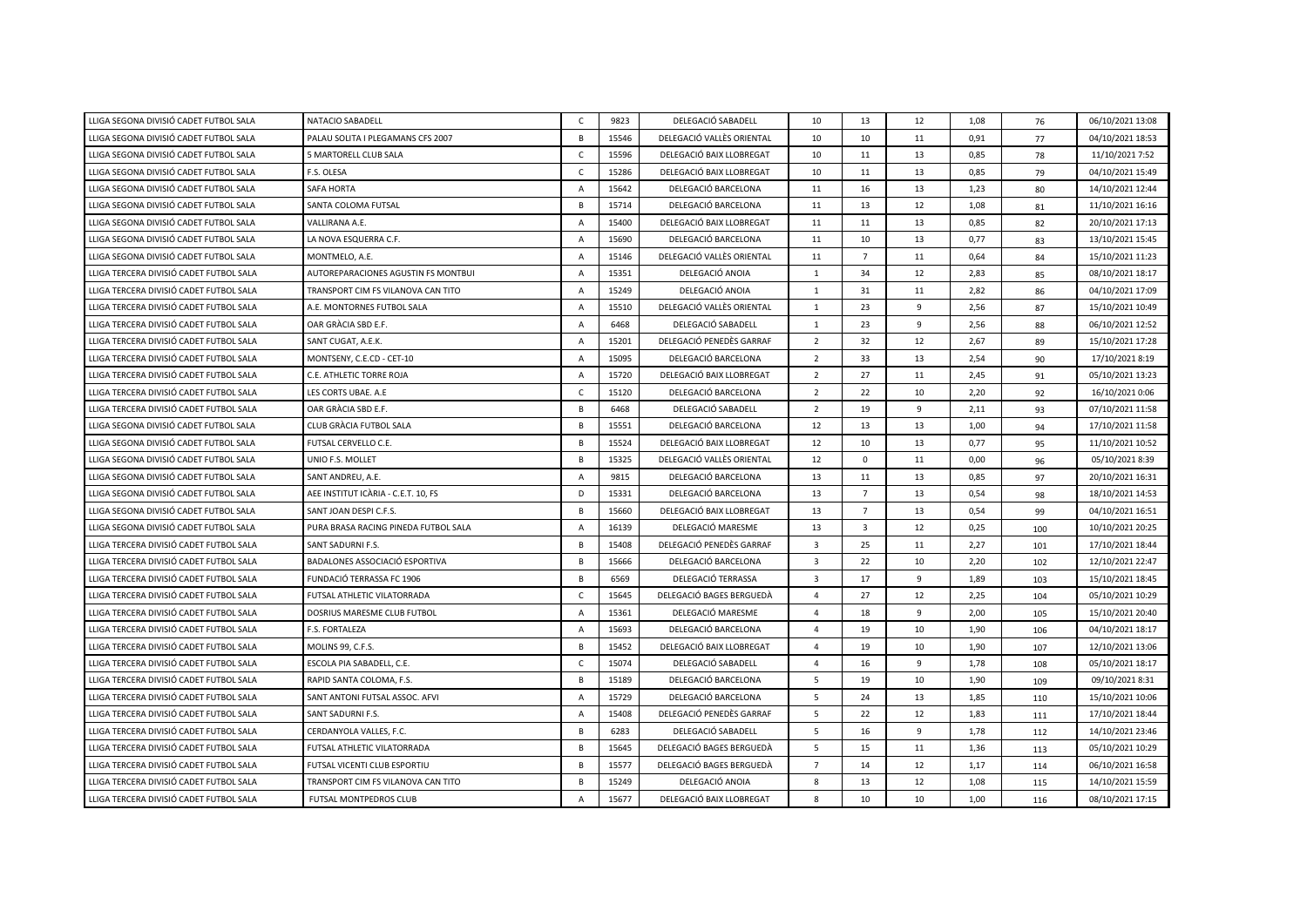| LLIGA SEGONA DIVISIÓ CADET FUTBOL SALA  | NATACIO SABADELL                     | $\mathsf{C}$   | 9823  | DELEGACIÓ SABADELL        | 10                      | 13             | 12 | 1,08 | 76  | 06/10/2021 13:08 |
|-----------------------------------------|--------------------------------------|----------------|-------|---------------------------|-------------------------|----------------|----|------|-----|------------------|
| LLIGA SEGONA DIVISIÓ CADET FUTBOL SALA  | PALAU SOLITA I PLEGAMANS CFS 2007    | B              | 15546 | DELEGACIÓ VALLÈS ORIENTAL | 10                      | 10             | 11 | 0,91 | 77  | 04/10/2021 18:53 |
| LLIGA SEGONA DIVISIÓ CADET FUTBOL SALA  | 5 MARTORELL CLUB SALA                | $\mathsf{C}$   | 15596 | DELEGACIÓ BAIX LLOBREGAT  | 10                      | 11             | 13 | 0,85 | 78  | 11/10/2021 7:52  |
| LLIGA SEGONA DIVISIÓ CADET FUTBOL SALA  | F.S. OLESA                           | $\mathsf{C}$   | 15286 | DELEGACIÓ BAIX LLOBREGAT  | 10                      | 11             | 13 | 0,85 | 79  | 04/10/2021 15:49 |
| LLIGA SEGONA DIVISIÓ CADET FUTBOL SALA  | <b>SAFA HORTA</b>                    | $\overline{A}$ | 15642 | DELEGACIÓ BARCELONA       | 11                      | 16             | 13 | 1,23 | 80  | 14/10/2021 12:44 |
| LLIGA SEGONA DIVISIÓ CADET FUTBOL SALA  | SANTA COLOMA FUTSAL                  | B              | 15714 | DELEGACIÓ BARCELONA       | 11                      | 13             | 12 | 1,08 | 81  | 11/10/2021 16:16 |
| LLIGA SEGONA DIVISIÓ CADET FUTBOL SALA  | VALLIRANA A.E.                       | A              | 15400 | DELEGACIÓ BAIX LLOBREGAT  | 11                      | 11             | 13 | 0,85 | 82  | 20/10/2021 17:13 |
| LLIGA SEGONA DIVISIÓ CADET FUTBOL SALA  | LA NOVA ESQUERRA C.F.                | $\mathsf{A}$   | 15690 | DELEGACIÓ BARCELONA       | 11                      | 10             | 13 | 0,77 | 83  | 13/10/2021 15:45 |
| LLIGA SEGONA DIVISIÓ CADET FUTBOL SALA  | MONTMELO, A.E.                       | $\overline{A}$ | 15146 | DELEGACIÓ VALLÈS ORIENTAL | 11                      | $\overline{7}$ | 11 | 0,64 | 84  | 15/10/2021 11:23 |
| LLIGA TERCERA DIVISIÓ CADET FUTBOL SALA | AUTOREPARACIONES AGUSTIN FS MONTBUI  | $\overline{A}$ | 15351 | DELEGACIÓ ANOIA           | 1                       | 34             | 12 | 2,83 | 85  | 08/10/2021 18:17 |
| LLIGA TERCERA DIVISIÓ CADET FUTBOL SALA | TRANSPORT CIM FS VILANOVA CAN TITO   | $\overline{A}$ | 15249 | DELEGACIÓ ANOIA           | 1                       | 31             | 11 | 2,82 | 86  | 04/10/2021 17:09 |
| LLIGA TERCERA DIVISIÓ CADET FUTBOL SALA | A.E. MONTORNES FUTBOL SALA           | $\mathsf{A}$   | 15510 | DELEGACIÓ VALLÈS ORIENTAL | 1                       | 23             | 9  | 2,56 | 87  | 15/10/2021 10:49 |
| LLIGA TERCERA DIVISIÓ CADET FUTBOL SALA | OAR GRÀCIA SBD E.F.                  | $\overline{A}$ | 6468  | DELEGACIÓ SABADELL        | 1                       | 23             | 9  | 2,56 | 88  | 06/10/2021 12:52 |
| LLIGA TERCERA DIVISIÓ CADET FUTBOL SALA | SANT CUGAT, A.E.K.                   | A              | 15201 | DELEGACIÓ PENEDÈS GARRAF  | $\overline{2}$          | 32             | 12 | 2,67 | 89  | 15/10/2021 17:28 |
| LLIGA TERCERA DIVISIÓ CADET FUTBOL SALA | MONTSENY, C.E.CD - CET-10            | $\overline{A}$ | 15095 | DELEGACIÓ BARCELONA       | $\overline{2}$          | 33             | 13 | 2,54 | 90  | 17/10/2021 8:19  |
| LLIGA TERCERA DIVISIÓ CADET FUTBOL SALA | C.E. ATHLETIC TORRE ROJA             | $\overline{A}$ | 15720 | DELEGACIÓ BAIX LLOBREGAT  | $\overline{2}$          | 27             | 11 | 2,45 | 91  | 05/10/2021 13:23 |
| LLIGA TERCERA DIVISIÓ CADET FUTBOL SALA | LES CORTS UBAE. A.E                  | $\mathsf{C}$   | 15120 | DELEGACIÓ BARCELONA       | $\overline{2}$          | 22             | 10 | 2,20 | 92  | 16/10/2021 0:06  |
| LLIGA TERCERA DIVISIÓ CADET FUTBOL SALA | OAR GRÀCIA SBD E.F.                  | B              | 6468  | DELEGACIÓ SABADELL        | $\overline{2}$          | 19             | 9  | 2,11 | 93  | 07/10/2021 11:58 |
| LLIGA SEGONA DIVISIÓ CADET FUTBOL SALA  | CLUB GRÀCIA FUTBOL SALA              | B              | 15551 | DELEGACIÓ BARCELONA       | 12                      | 13             | 13 | 1,00 | 94  | 17/10/2021 11:58 |
| LLIGA SEGONA DIVISIÓ CADET FUTBOL SALA  | FUTSAL CERVELLO C.E.                 | B              | 15524 | DELEGACIÓ BAIX LLOBREGAT  | 12                      | 10             | 13 | 0,77 | 95  | 11/10/2021 10:52 |
| LLIGA SEGONA DIVISIÓ CADET FUTBOL SALA  | UNIO F.S. MOLLET                     | B              | 15325 | DELEGACIÓ VALLÈS ORIENTAL | 12                      | $\mathbf 0$    | 11 | 0,00 | 96  | 05/10/2021 8:39  |
| LLIGA SEGONA DIVISIÓ CADET FUTBOL SALA  | SANT ANDREU, A.E.                    | $\overline{A}$ | 9815  | DELEGACIÓ BARCELONA       | 13                      | 11             | 13 | 0,85 | 97  | 20/10/2021 16:31 |
| LLIGA SEGONA DIVISIÓ CADET FUTBOL SALA  | AEE INSTITUT ICARIA - C.E.T. 10, FS  | D              | 15331 | DELEGACIÓ BARCELONA       | 13                      | $\overline{7}$ | 13 | 0,54 | 98  | 18/10/2021 14:53 |
| LLIGA SEGONA DIVISIÓ CADET FUTBOL SALA  | SANT JOAN DESPI C.F.S.               | B              | 15660 | DELEGACIÓ BAIX LLOBREGAT  | 13                      | $\overline{7}$ | 13 | 0,54 | 99  | 04/10/2021 16:51 |
| LLIGA SEGONA DIVISIÓ CADET FUTBOL SALA  | PURA BRASA RACING PINEDA FUTBOL SALA | $\overline{A}$ | 16139 | DELEGACIÓ MARESME         | 13                      | 3              | 12 | 0,25 | 100 | 10/10/2021 20:25 |
| LLIGA TERCERA DIVISIÓ CADET FUTBOL SALA | SANT SADURNI F.S.                    | B              | 15408 | DELEGACIÓ PENEDÈS GARRAF  | $\overline{\mathbf{3}}$ | 25             | 11 | 2,27 | 101 | 17/10/2021 18:44 |
| LLIGA TERCERA DIVISIÓ CADET FUTBOL SALA | BADALONES ASSOCIACIÓ ESPORTIVA       | $\,$ B         | 15666 | DELEGACIÓ BARCELONA       | $\overline{\mathbf{3}}$ | 22             | 10 | 2,20 | 102 | 12/10/2021 22:47 |
| LLIGA TERCERA DIVISIÓ CADET FUTBOL SALA | FUNDACIÓ TERRASSA FC 1906            | B              | 6569  | DELEGACIÓ TERRASSA        | $\overline{\mathbf{3}}$ | 17             | 9  | 1,89 | 103 | 15/10/2021 18:45 |
| LLIGA TERCERA DIVISIÓ CADET FUTBOL SALA | FUTSAL ATHLETIC VILATORRADA          | $\mathsf{C}$   | 15645 | DELEGACIÓ BAGES BERGUEDÀ  | 4                       | 27             | 12 | 2,25 | 104 | 05/10/2021 10:29 |
| LLIGA TERCERA DIVISIÓ CADET FUTBOL SALA | DOSRIUS MARESME CLUB FUTBOL          | $\mathsf{A}$   | 15361 | DELEGACIÓ MARESME         | $\overline{a}$          | 18             | 9  | 2,00 | 105 | 15/10/2021 20:40 |
| LLIGA TERCERA DIVISIÓ CADET FUTBOL SALA | F.S. FORTALEZA                       | $\mathsf{A}$   | 15693 | DELEGACIÓ BARCELONA       | $\overline{4}$          | 19             | 10 | 1,90 | 106 | 04/10/2021 18:17 |
| LLIGA TERCERA DIVISIÓ CADET FUTBOL SALA | MOLINS 99, C.F.S.                    | $\mathsf B$    | 15452 | DELEGACIÓ BAIX LLOBREGAT  | $\overline{4}$          | 19             | 10 | 1,90 | 107 | 12/10/2021 13:06 |
| LLIGA TERCERA DIVISIÓ CADET FUTBOL SALA | ESCOLA PIA SABADELL, C.E.            | $\mathsf{C}$   | 15074 | DELEGACIÓ SABADELL        | $\overline{a}$          | 16             | 9  | 1,78 | 108 | 05/10/2021 18:17 |
| LLIGA TERCERA DIVISIÓ CADET FUTBOL SALA | RAPID SANTA COLOMA, F.S.             | B              | 15189 | DELEGACIÓ BARCELONA       | 5                       | 19             | 10 | 1,90 | 109 | 09/10/2021 8:31  |
| LLIGA TERCERA DIVISIÓ CADET FUTBOL SALA | SANT ANTONI FUTSAL ASSOC. AFVI       | $\mathsf{A}$   | 15729 | DELEGACIÓ BARCELONA       | 5                       | 24             | 13 | 1,85 | 110 | 15/10/2021 10:06 |
| LLIGA TERCERA DIVISIÓ CADET FUTBOL SALA | SANT SADURNI F.S.                    | $\overline{A}$ | 15408 | DELEGACIÓ PENEDÈS GARRAF  | 5                       | 22             | 12 | 1,83 | 111 | 17/10/2021 18:44 |
| LLIGA TERCERA DIVISIÓ CADET FUTBOL SALA | CERDANYOLA VALLES, F.C.              | B              | 6283  | DELEGACIÓ SABADELL        | 5                       | 16             | 9  | 1,78 | 112 | 14/10/2021 23:46 |
| LLIGA TERCERA DIVISIÓ CADET FUTBOL SALA | FUTSAL ATHLETIC VILATORRADA          | B              | 15645 | DELEGACIÓ BAGES BERGUEDÀ  | 5                       | 15             | 11 | 1,36 | 113 | 05/10/2021 10:29 |
| LLIGA TERCERA DIVISIÓ CADET FUTBOL SALA | FUTSAL VICENTI CLUB ESPORTIU         | B              | 15577 | DELEGACIÓ BAGES BERGUEDÀ  | $\overline{7}$          | 14             | 12 | 1,17 | 114 | 06/10/2021 16:58 |
| LLIGA TERCERA DIVISIÓ CADET FUTBOL SALA | TRANSPORT CIM FS VILANOVA CAN TITO   | B              | 15249 | DELEGACIÓ ANOIA           | 8                       | 13             | 12 | 1,08 | 115 | 14/10/2021 15:59 |
| LLIGA TERCERA DIVISIÓ CADET FUTBOL SALA | FUTSAL MONTPEDROS CLUB               | A              | 15677 | DELEGACIÓ BAIX LLOBREGAT  | 8                       | 10             | 10 | 1,00 | 116 | 08/10/2021 17:15 |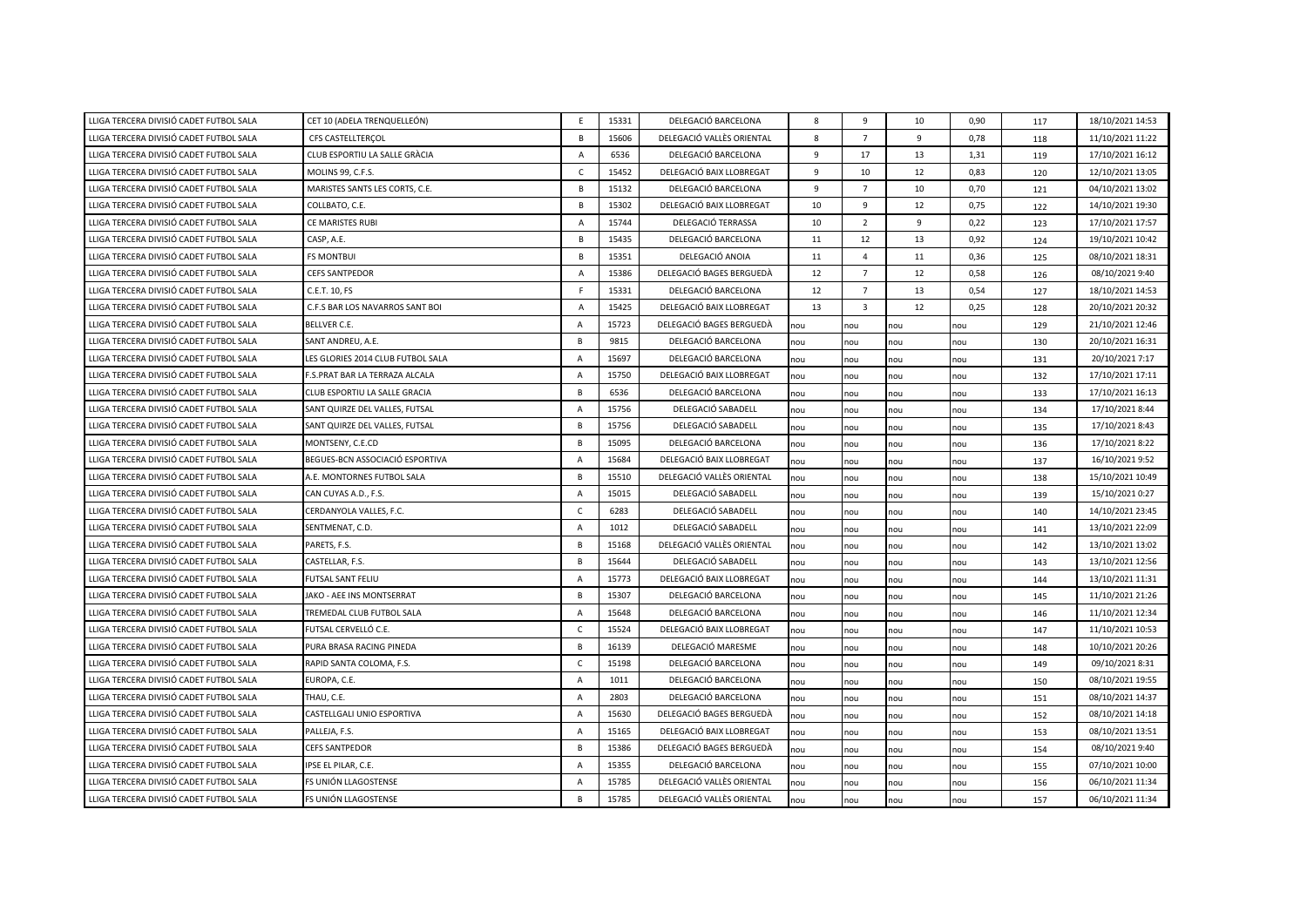| LLIGA TERCERA DIVISIÓ CADET FUTBOL SALA | CET 10 (ADELA TRENQUELLEÓN)       | E              | 15331 | DELEGACIÓ BARCELONA       | 8   | 9              | 10  | 0,90 | 117 | 18/10/2021 14:53 |
|-----------------------------------------|-----------------------------------|----------------|-------|---------------------------|-----|----------------|-----|------|-----|------------------|
| LLIGA TERCERA DIVISIÓ CADET FUTBOL SALA | CFS CASTELLTERCOL                 | В              | 15606 | DELEGACIÓ VALLÈS ORIENTAL | 8   | $\overline{7}$ | 9   | 0,78 | 118 | 11/10/2021 11:22 |
| LLIGA TERCERA DIVISIÓ CADET FUTBOL SALA | CLUB ESPORTIU LA SALLE GRÀCIA     | A              | 6536  | DELEGACIÓ BARCELONA       | 9   | 17             | 13  | 1,31 | 119 | 17/10/2021 16:12 |
| LLIGA TERCERA DIVISIÓ CADET FUTBOL SALA | MOLINS 99, C.F.S.                 | $\mathsf{C}$   | 15452 | DELEGACIÓ BAIX LLOBREGAT  | 9   | 10             | 12  | 0,83 | 120 | 12/10/2021 13:05 |
| LLIGA TERCERA DIVISIÓ CADET FUTBOL SALA | MARISTES SANTS LES CORTS, C.E.    | B              | 15132 | DELEGACIÓ BARCELONA       | 9   | $\overline{7}$ | 10  | 0,70 | 121 | 04/10/2021 13:02 |
| LLIGA TERCERA DIVISIÓ CADET FUTBOL SALA | COLLBATO, C.E.                    | B              | 15302 | DELEGACIÓ BAIX LLOBREGAT  | 10  | 9              | 12  | 0,75 | 122 | 14/10/2021 19:30 |
| LLIGA TERCERA DIVISIÓ CADET FUTBOL SALA | CE MARISTES RUBI                  | $\mathsf{A}$   | 15744 | DELEGACIÓ TERRASSA        | 10  | $\overline{2}$ | 9   | 0,22 | 123 | 17/10/2021 17:57 |
| LLIGA TERCERA DIVISIÓ CADET FUTBOL SALA | CASP, A.E.                        | B              | 15435 | DELEGACIÓ BARCELONA       | 11  | 12             | 13  | 0,92 | 124 | 19/10/2021 10:42 |
| LLIGA TERCERA DIVISIÓ CADET FUTBOL SALA | <b>FS MONTBUI</b>                 | B              | 15351 | DELEGACIÓ ANOIA           | 11  | $\overline{4}$ | 11  | 0,36 | 125 | 08/10/2021 18:31 |
| LLIGA TERCERA DIVISIÓ CADET FUTBOL SALA | <b>CEFS SANTPEDOR</b>             | $\overline{A}$ | 15386 | DELEGACIÓ BAGES BERGUEDÀ  | 12  | $\overline{7}$ | 12  | 0,58 | 126 | 08/10/2021 9:40  |
| LLIGA TERCERA DIVISIÓ CADET FUTBOL SALA | C.E.T. 10, FS                     | F.             | 15331 | DELEGACIÓ BARCELONA       | 12  | $\overline{7}$ | 13  | 0,54 | 127 | 18/10/2021 14:53 |
| LLIGA TERCERA DIVISIÓ CADET FUTBOL SALA | C.F.S BAR LOS NAVARROS SANT BOI   | $\mathsf{A}$   | 15425 | DELEGACIÓ BAIX LLOBREGAT  | 13  | $\overline{3}$ | 12  | 0,25 | 128 | 20/10/2021 20:32 |
| LLIGA TERCERA DIVISIÓ CADET FUTBOL SALA | BELLVER C.E.                      | A              | 15723 | DELEGACIÓ BAGES BERGUEDÀ  | nou | nou            | nou | nou  | 129 | 21/10/2021 12:46 |
| LLIGA TERCERA DIVISIÓ CADET FUTBOL SALA | SANT ANDREU, A.E.                 | B              | 9815  | DELEGACIÓ BARCELONA       | nou | nou            | nou | nou  | 130 | 20/10/2021 16:31 |
| LLIGA TERCERA DIVISIÓ CADET FUTBOL SALA | LES GLORIES 2014 CLUB FUTBOL SALA | A              | 15697 | DELEGACIÓ BARCELONA       | nou | nou            | nou | nou  | 131 | 20/10/2021 7:17  |
| LLIGA TERCERA DIVISIÓ CADET FUTBOL SALA | F.S.PRAT BAR LA TERRAZA ALCALA    | A              | 15750 | DELEGACIÓ BAIX LLOBREGAT  | nou | nou            | nou | nou  | 132 | 17/10/2021 17:11 |
| LLIGA TERCERA DIVISIÓ CADET FUTBOL SALA | CLUB ESPORTIU LA SALLE GRACIA     | $\mathsf B$    | 6536  | DELEGACIÓ BARCELONA       | nou | nou            | nou | nou  | 133 | 17/10/2021 16:13 |
| LLIGA TERCERA DIVISIÓ CADET FUTBOL SALA | SANT QUIRZE DEL VALLES, FUTSAL    | A              | 15756 | DELEGACIÓ SABADELL        | nou | nou            | nou | nou  | 134 | 17/10/2021 8:44  |
| LLIGA TERCERA DIVISIÓ CADET FUTBOL SALA | SANT QUIRZE DEL VALLES, FUTSAL    | B              | 15756 | DELEGACIÓ SABADELL        | nou | nou            | nou | nou  | 135 | 17/10/2021 8:43  |
| LLIGA TERCERA DIVISIÓ CADET FUTBOL SALA | MONTSENY, C.E.CD                  | B              | 15095 | DELEGACIÓ BARCELONA       | nou | nou            | nou | nou  | 136 | 17/10/2021 8:22  |
| LLIGA TERCERA DIVISIÓ CADET FUTBOL SALA | BEGUES-BCN ASSOCIACIÓ ESPORTIVA   | A              | 15684 | DELEGACIÓ BAIX LLOBREGAT  | nou | nou            | nou | nou  | 137 | 16/10/2021 9:52  |
| LLIGA TERCERA DIVISIÓ CADET FUTBOL SALA | A.E. MONTORNES FUTBOL SALA        | B              | 15510 | DELEGACIÓ VALLÈS ORIENTAL | nou | nou            | nou | nou  | 138 | 15/10/2021 10:49 |
| LLIGA TERCERA DIVISIÓ CADET FUTBOL SALA | CAN CUYAS A.D., F.S.              | A              | 15015 | DELEGACIÓ SABADELL        | nou | nou            | nou | nou  | 139 | 15/10/2021 0:27  |
| LLIGA TERCERA DIVISIÓ CADET FUTBOL SALA | CERDANYOLA VALLES, F.C.           | $\mathsf C$    | 6283  | DELEGACIÓ SABADELL        | nou | nou            | nou | nou  | 140 | 14/10/2021 23:45 |
| LLIGA TERCERA DIVISIÓ CADET FUTBOL SALA | SENTMENAT, C.D.                   | $\overline{A}$ | 1012  | DELEGACIÓ SABADELL        | nou | nou            | nou | nou  | 141 | 13/10/2021 22:09 |
| LLIGA TERCERA DIVISIÓ CADET FUTBOL SALA | PARETS, F.S.                      | B              | 15168 | DELEGACIÓ VALLÈS ORIENTAL | nou | nou            | nou | nou  | 142 | 13/10/2021 13:02 |
| LLIGA TERCERA DIVISIÓ CADET FUTBOL SALA | CASTELLAR, F.S.                   | B              | 15644 | DELEGACIÓ SABADELL        | nou | nou            | nou | nou  | 143 | 13/10/2021 12:56 |
| LLIGA TERCERA DIVISIÓ CADET FUTBOL SALA | FUTSAL SANT FELIU                 | A              | 15773 | DELEGACIÓ BAIX LLOBREGAT  | nou | nou            | nou | nou  | 144 | 13/10/2021 11:31 |
| LLIGA TERCERA DIVISIÓ CADET FUTBOL SALA | JAKO - AEE INS MONTSERRAT         | B              | 15307 | DELEGACIÓ BARCELONA       | nou | nou            | nou | nou  | 145 | 11/10/2021 21:26 |
| LLIGA TERCERA DIVISIÓ CADET FUTBOL SALA | TREMEDAL CLUB FUTBOL SALA         | A              | 15648 | DELEGACIÓ BARCELONA       | nou | nou            | nou | nou  | 146 | 11/10/2021 12:34 |
| LLIGA TERCERA DIVISIÓ CADET FUTBOL SALA | FUTSAL CERVELLÓ C.E.              | $\mathsf C$    | 15524 | DELEGACIÓ BAIX LLOBREGAT  | nou | nou            | nou | nou  | 147 | 11/10/2021 10:53 |
| LLIGA TERCERA DIVISIÓ CADET FUTBOL SALA | PURA BRASA RACING PINEDA          | B              | 16139 | DELEGACIÓ MARESME         | nou | nou            | nou | nou  | 148 | 10/10/2021 20:26 |
| LLIGA TERCERA DIVISIÓ CADET FUTBOL SALA | RAPID SANTA COLOMA, F.S.          | $\mathsf C$    | 15198 | DELEGACIÓ BARCELONA       | nou | nou            | nou | nou  | 149 | 09/10/2021 8:31  |
| LLIGA TERCERA DIVISIÓ CADET FUTBOL SALA | EUROPA, C.E.                      | A              | 1011  | DELEGACIÓ BARCELONA       | nou | nou            | nou | nou  | 150 | 08/10/2021 19:55 |
| LLIGA TERCERA DIVISIÓ CADET FUTBOL SALA | THAU. C.E.                        | $\overline{A}$ | 2803  | DELEGACIÓ BARCELONA       | nou | nou            | nou | nou  | 151 | 08/10/2021 14:37 |
| LLIGA TERCERA DIVISIÓ CADET FUTBOL SALA | CASTELLGALI UNIO ESPORTIVA        | $\overline{A}$ | 15630 | DELEGACIÓ BAGES BERGUEDÀ  | nou | nou            | nou | nou  | 152 | 08/10/2021 14:18 |
| LLIGA TERCERA DIVISIÓ CADET FUTBOL SALA | PALLEJA, F.S.                     | $\overline{A}$ | 15165 | DELEGACIÓ BAIX LLOBREGAT  | nou | nou            | nou | nou  | 153 | 08/10/2021 13:51 |
| LLIGA TERCERA DIVISIÓ CADET FUTBOL SALA | <b>CEFS SANTPEDOR</b>             | $\, {\sf B}$   | 15386 | DELEGACIÓ BAGES BERGUEDÀ  | nou | nou            | nou | nou  | 154 | 08/10/2021 9:40  |
| LLIGA TERCERA DIVISIÓ CADET FUTBOL SALA | IPSE EL PILAR, C.E.               | $\overline{A}$ | 15355 | DELEGACIÓ BARCELONA       | nou | nou            | nou | nou  | 155 | 07/10/2021 10:00 |
| LLIGA TERCERA DIVISIÓ CADET FUTBOL SALA | FS UNIÓN LLAGOSTENSE              | A              | 15785 | DELEGACIÓ VALLÈS ORIENTAL | nou | nou            | nou | nou  | 156 | 06/10/2021 11:34 |
| LLIGA TERCERA DIVISIÓ CADET FUTBOL SALA | FS UNIÓN LLAGOSTENSE              | B              | 15785 | DELEGACIÓ VALLÈS ORIENTAL | nou | nou            | nou | nou  | 157 | 06/10/2021 11:34 |
|                                         |                                   |                |       |                           |     |                |     |      |     |                  |